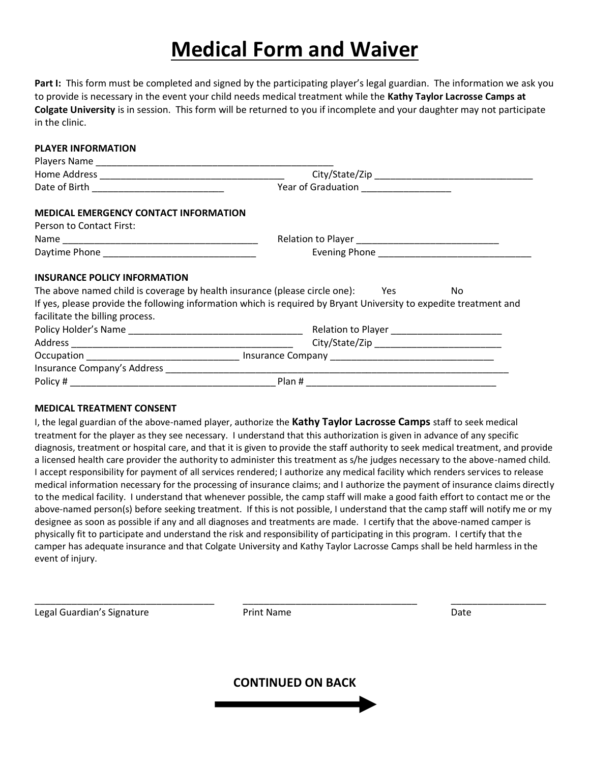# **Medical Form and Waiver**

**Part I:** This form must be completed and signed by the participating player's legal guardian. The information we ask you to provide is necessary in the event your child needs medical treatment while the **Kathy Taylor Lacrosse Camps at Colgate University** is in session. This form will be returned to you if incomplete and your daughter may not participate in the clinic.

#### **PLAYER INFORMATION**

|                                                                                | Year of Graduation ____________________                                                                           |
|--------------------------------------------------------------------------------|-------------------------------------------------------------------------------------------------------------------|
| <b>MEDICAL EMERGENCY CONTACT INFORMATION</b>                                   |                                                                                                                   |
| Person to Contact First:                                                       |                                                                                                                   |
|                                                                                |                                                                                                                   |
|                                                                                |                                                                                                                   |
| <b>INSURANCE POLICY INFORMATION</b>                                            |                                                                                                                   |
| The above named child is coverage by health insurance (please circle one): Yes | No.                                                                                                               |
|                                                                                | If yes, please provide the following information which is required by Bryant University to expedite treatment and |
| facilitate the billing process.                                                |                                                                                                                   |
|                                                                                |                                                                                                                   |
|                                                                                |                                                                                                                   |
|                                                                                |                                                                                                                   |
|                                                                                |                                                                                                                   |
| Policy #                                                                       | Plan #                                                                                                            |

#### **MEDICAL TREATMENT CONSENT**

I, the legal guardian of the above-named player, authorize the **Kathy Taylor Lacrosse Camps** staff to seek medical treatment for the player as they see necessary. I understand that this authorization is given in advance of any specific diagnosis, treatment or hospital care, and that it is given to provide the staff authority to seek medical treatment, and provide a licensed health care provider the authority to administer this treatment as s/he judges necessary to the above-named child. I accept responsibility for payment of all services rendered; I authorize any medical facility which renders services to release medical information necessary for the processing of insurance claims; and I authorize the payment of insurance claims directly to the medical facility. I understand that whenever possible, the camp staff will make a good faith effort to contact me or the above-named person(s) before seeking treatment. If this is not possible, I understand that the camp staff will notify me or my designee as soon as possible if any and all diagnoses and treatments are made. I certify that the above-named camper is physically fit to participate and understand the risk and responsibility of participating in this program. I certify that the camper has adequate insurance and that Colgate University and Kathy Taylor Lacrosse Camps shall be held harmless in the event of injury.

Legal Guardian's Signature The Print Name Controller and Date Date Date

**CONTINUED ON BACK**

\_\_\_\_\_\_\_\_\_\_\_\_\_\_\_\_\_\_\_\_\_\_\_\_\_\_\_\_\_\_\_\_\_\_ \_\_\_\_\_\_\_\_\_\_\_\_\_\_\_\_\_\_\_\_\_\_\_\_\_\_\_\_\_\_\_\_\_ \_\_\_\_\_\_\_\_\_\_\_\_\_\_\_\_\_\_